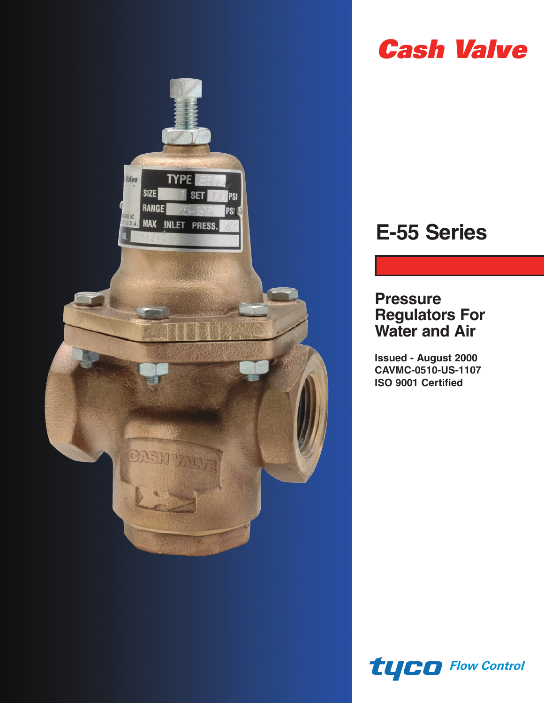

# *Cash Valve*

# **E-55 Series**

# **Pressure Regulators For Water and Air**

**Issued - August 2000 CAVMC-0510-US-1107 ISO 9001 Certified**

*Flow Control*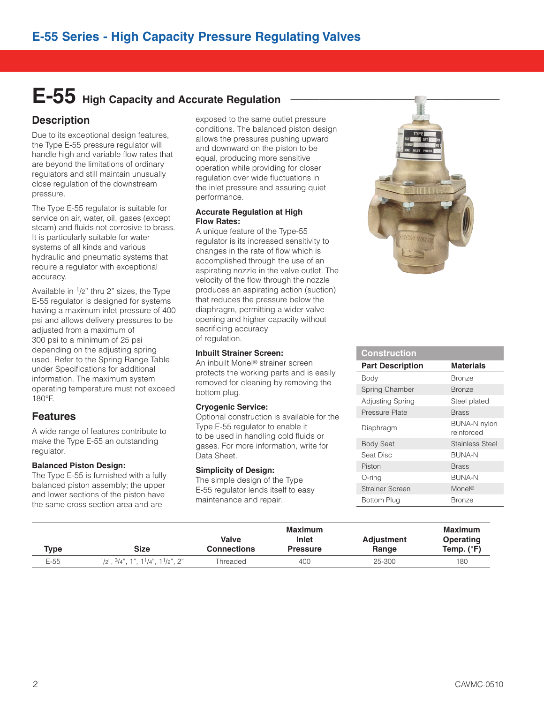# E-55 High Capacity and Accurate Regulation

### **Description**

Due to its exceptional design features, the Type E-55 pressure regulator will handle high and variable flow rates that are beyond the limitations of ordinary regulators and still maintain unusually close regulation of the downstream pressure.

The Type E-55 regulator is suitable for service on air, water, oil, gases (except steam) and fluids not corrosive to brass. It is particularly suitable for water systems of all kinds and various hydraulic and pneumatic systems that require a regulator with exceptional accuracy.

Available in 1/2" thru 2" sizes, the Type E-55 regulator is designed for systems having a maximum inlet pressure of 400 psi and allows delivery pressures to be adjusted from a maximum of 300 psi to a minimum of 25 psi depending on the adjusting spring used. Refer to the Spring Range Table under Specifications for additional information. The maximum system operating temperature must not exceed 180°F.

### **Features**

A wide range of features contribute to make the Type E-55 an outstanding regulator.

#### **Balanced Piston Design:**

The Type E-55 is furnished with a fully balanced piston assembly; the upper and lower sections of the piston have the same cross section area and are

exposed to the same outlet pressure conditions. The balanced piston design allows the pressures pushing upward and downward on the piston to be equal, producing more sensitive operation while providing for closer regulation over wide fluctuations in the inlet pressure and assuring quiet performance.

#### **Accurate Regulation at High Flow Rates:**

A unique feature of the Type-55 regulator is its increased sensitivity to changes in the rate of flow which is accomplished through the use of an aspirating nozzle in the valve outlet. The velocity of the flow through the nozzle produces an aspirating action (suction) that reduces the pressure below the diaphragm, permitting a wider valve opening and higher capacity without sacrificing accuracy of regulation.

#### **Inbuilt Strainer Screen:**

An inbuilt Monel® strainer screen protects the working parts and is easily removed for cleaning by removing the bottom plug.

#### **Cryogenic Service:**

Optional construction is available for the Type E-55 regulator to enable it to be used in handling cold fluids or gases. For more information, write for Data Sheet.

#### **Simplicity of Design:**

The simple design of the Type E-55 regulator lends itself to easy maintenance and repair.



| <b>Construction</b>     |                                   |
|-------------------------|-----------------------------------|
| <b>Part Description</b> | <b>Materials</b>                  |
| Body                    | <b>Bronze</b>                     |
| Spring Chamber          | <b>Bronze</b>                     |
| Adjusting Spring        | Steel plated                      |
| Pressure Plate          | <b>Brass</b>                      |
| Diaphragm               | <b>BUNA-N nylon</b><br>reinforced |
| <b>Body Seat</b>        | <b>Stainless Steel</b>            |
| Seat Disc               | <b>BUNA-N</b>                     |
| Piston                  | <b>Brass</b>                      |
| O-ring                  | <b>BUNA-N</b>                     |
| <b>Strainer Screen</b>  | Monel®                            |
| Bottom Plug             | Bronze                            |

| Type   | Size                                               | <b>Valve</b><br><b>Connections</b> | Maximum<br>Inlet<br><b>Pressure</b> | <b>Adjustment</b><br>Range | <b>Maximum</b><br>Operating<br>Temp. $(^{\circ}F)$ |
|--------|----------------------------------------------------|------------------------------------|-------------------------------------|----------------------------|----------------------------------------------------|
| $E-55$ | $1/2$ ", $3/4$ ", $1$ ", $11/4$ ", $11/2$ ", $2$ " | Threaded                           | 400                                 | 25-300                     | 180                                                |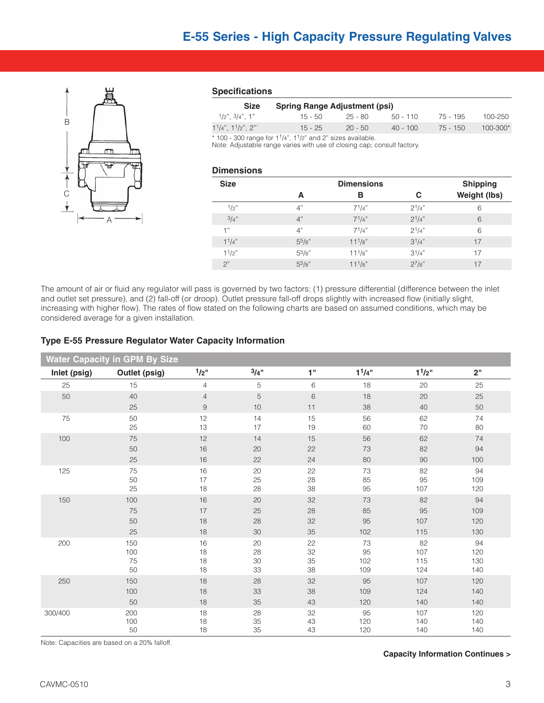

#### **Specifications**

| <b>Size</b>              | <b>Spring Range Adjustment (psi)</b> |           |            |          |              |  |
|--------------------------|--------------------------------------|-----------|------------|----------|--------------|--|
| $1/2$ " $3/4$ " 1"       | $15 - 50$                            | - 25 - 80 | $50 - 110$ | 75 - 195 | 100-250      |  |
| $11/4$ ", $11/2$ ", $21$ | $15 - 25$                            | $20 - 50$ | $40 - 100$ | 75 - 150 | $100 - 300*$ |  |
| $\cdots$                 |                                      |           |            |          |              |  |

 $*$  100 - 300 range for 1<sup>1</sup>/4", 1<sup>1</sup>/2" and 2" sizes available.

Note: Adjustable range varies with use of closing cap; consult factory.

#### **Dimensions**

| <b>Size</b> |            | <b>Shipping</b> |            |              |
|-------------|------------|-----------------|------------|--------------|
|             | A          | в               | С          | Weight (lbs) |
| 1/2"        | 4"         | $7^{1}/4"$      | $2^{1/4"}$ | 6            |
| 3/4"        | 4"         | $7^{1}/4"$      | $2^{1/4"}$ | 6            |
| 1"          | 4"         | $7^{1}/4"$      | $2^{1/4"}$ | 6            |
| 11/4"       | 55/8"      | $11^{1/8"$      | $3^{1/4"$  | 17           |
| $1^{1}/2$ " | $5^{5}/8"$ | $11^{1/8"$      | $3^{1/4"$  | 17           |
| 2"          | 55/8"      | $11^{1/8"$      | $2^{7}/8"$ | 17           |

The amount of air or fluid any regulator will pass is governed by two factors: (1) pressure differential (difference between the inlet and outlet set pressure), and (2) fall-off (or droop). Outlet pressure fall-off drops slightly with increased flow (initially slight, increasing with higher flow). The rates of flow stated on the following charts are based on assumed conditions, which may be considered average for a given installation.

#### **Type E-55 Pressure Regulator Water Capacity Information**

| <b>Water Capacity in GPM By Size</b> |               |                  |          |          |             |                                 |            |
|--------------------------------------|---------------|------------------|----------|----------|-------------|---------------------------------|------------|
| Inlet (psig)                         | Outlet (psig) | 1/2"             | 3/4"     | 1"       | $1^{1}/4$ " | 1 <sup>1</sup> /2 <sup>''</sup> | 2"         |
| 25                                   | 15            | 4                | 5        | 6        | 18          | 20                              | 25         |
| 50                                   | 40            | $\overline{4}$   | 5        | 6        | 18          | 20                              | 25         |
|                                      | 25            | $\boldsymbol{9}$ | 10       | 11       | 38          | 40                              | 50         |
| 75                                   | 50            | 12               | 14       | 15       | 56          | 62                              | 74         |
|                                      | 25            | 13               | 17       | 19       | 60          | 70                              | 80         |
| 100                                  | 75            | 12               | 14       | 15       | 56          | 62                              | 74         |
|                                      | 50            | 16               | 20       | 22       | 73          | 82                              | 94         |
|                                      | 25            | 16               | 22       | 24       | 80          | 90                              | 100        |
| 125                                  | 75            | 16               | 20       | 22       | 73          | 82                              | 94         |
|                                      | 50            | 17               | 25       | 28       | 85          | 95                              | 109        |
|                                      | 25            | 18               | 28       | 38       | 95          | 107                             | 120        |
| 150                                  | 100           | 16               | 20       | 32       | 73          | 82                              | 94         |
|                                      | 75            | 17               | 25       | 28       | 85          | 95                              | 109        |
|                                      | 50            | 18               | 28       | 32       | 95          | 107                             | 120        |
|                                      | 25            | 18               | 30       | 35       | 102         | 115                             | 130        |
| 200                                  | 150           | 16               | 20       | 22       | 73          | 82                              | 94         |
|                                      | 100           | 18               | 28       | 32       | 95          | 107                             | 120        |
|                                      | 75<br>50      | 18               | 30       | 35<br>38 | 102         | 115                             | 130        |
|                                      |               | 18               | 33       |          | 109         | 124                             | 140        |
| 250                                  | 150           | 18               | 28       | 32       | 95          | 107                             | 120        |
|                                      | 100           | 18               | 33       | 38       | 109         | 124                             | 140        |
|                                      | 50            | 18               | 35       | 43       | 120         | 140                             | 140        |
| 300/400                              | 200           | 18               | 28       | 32       | 95          | 107                             | 120        |
|                                      | 100<br>50     | 18<br>$18$       | 35<br>35 | 43<br>43 | 120<br>120  | 140<br>140                      | 140<br>140 |
|                                      |               |                  |          |          |             |                                 |            |

Note: Capacities are based on a 20% falloff.

#### **Capacity Information Continues >**